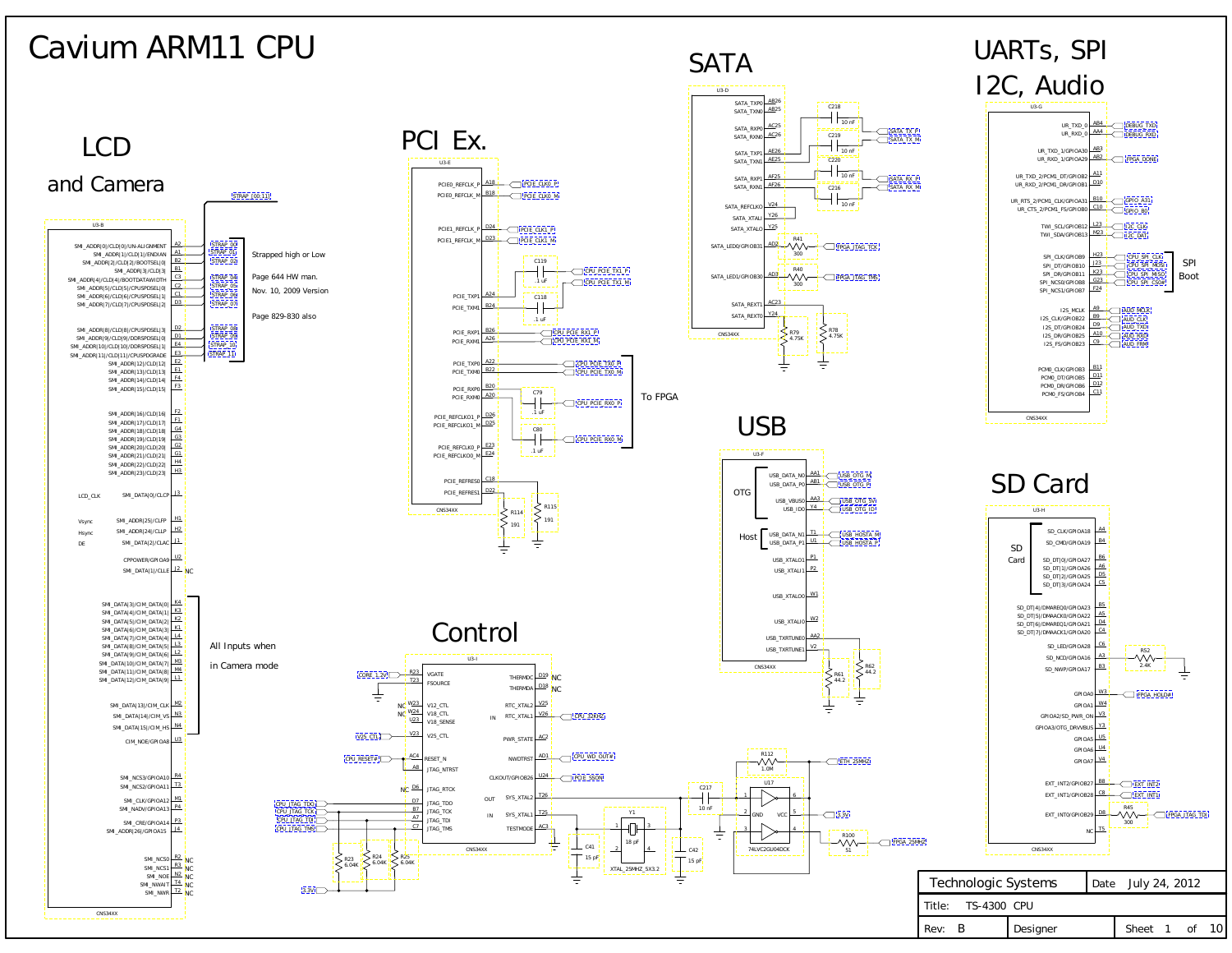

Rev: B Designer | Sheet 1 of 10

Rev: B



## <span id="page-0-0"></span>Cavium ARM11 CPU

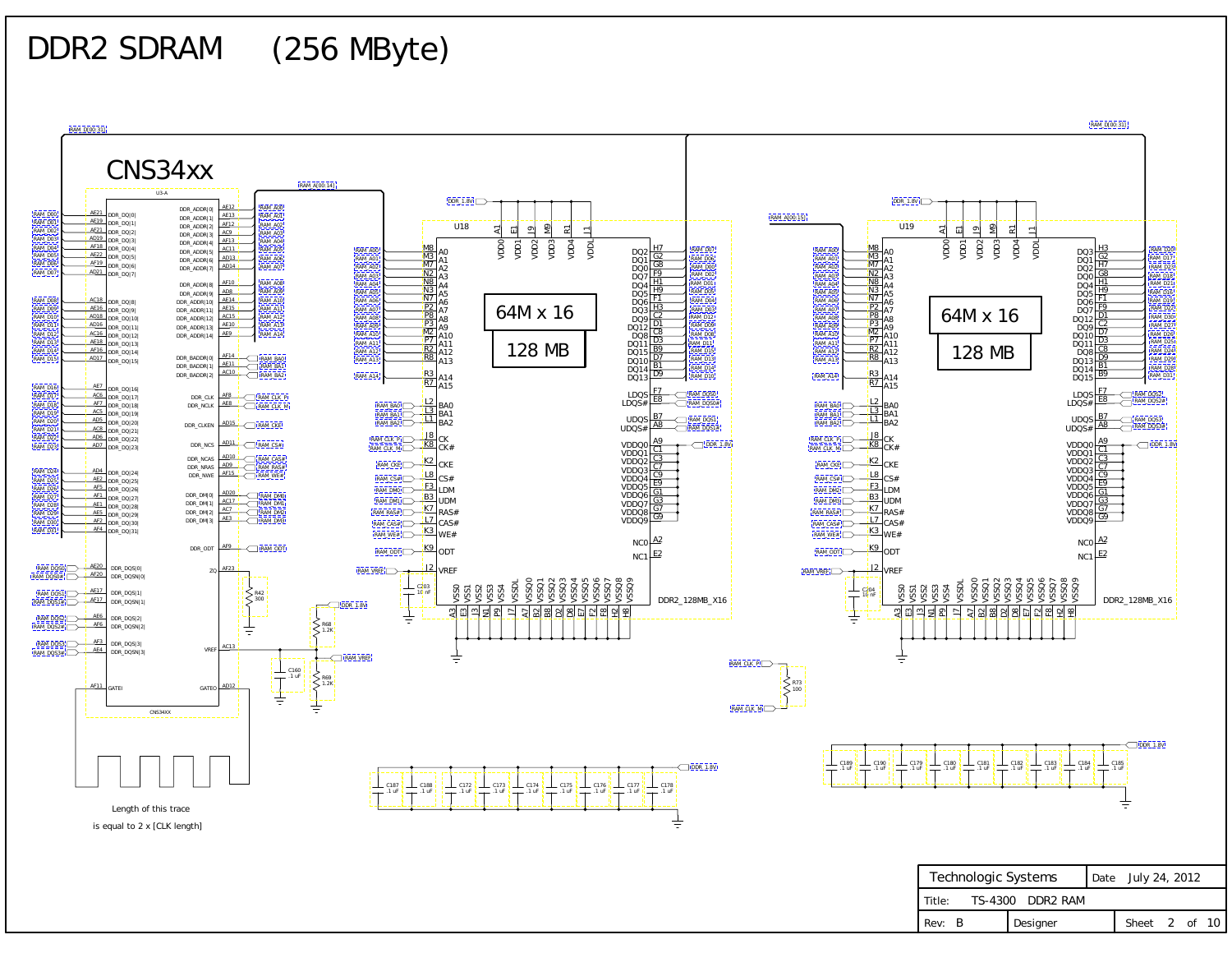<span id="page-1-0"></span>DDR2 SDRAM (256 MByte)

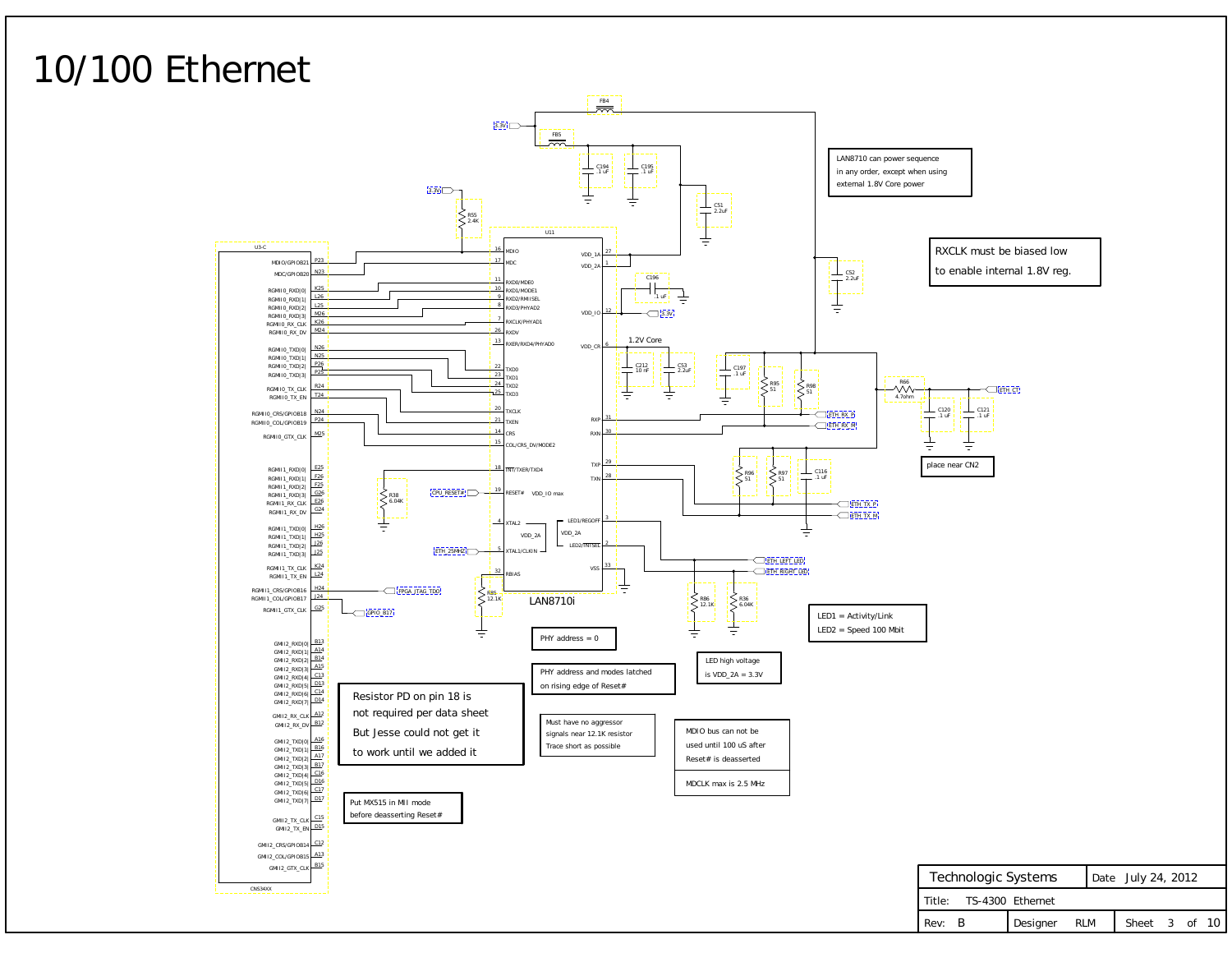## <span id="page-2-0"></span>10/100 Ethernet

| Technologic Systems     |              | Date July 24, 2012 |               |  |  |
|-------------------------|--------------|--------------------|---------------|--|--|
| Title: TS-4300 Ethernet |              |                    |               |  |  |
| Rev: B                  | Designer RLM |                    | Sheet 3 of 10 |  |  |



CNS34XX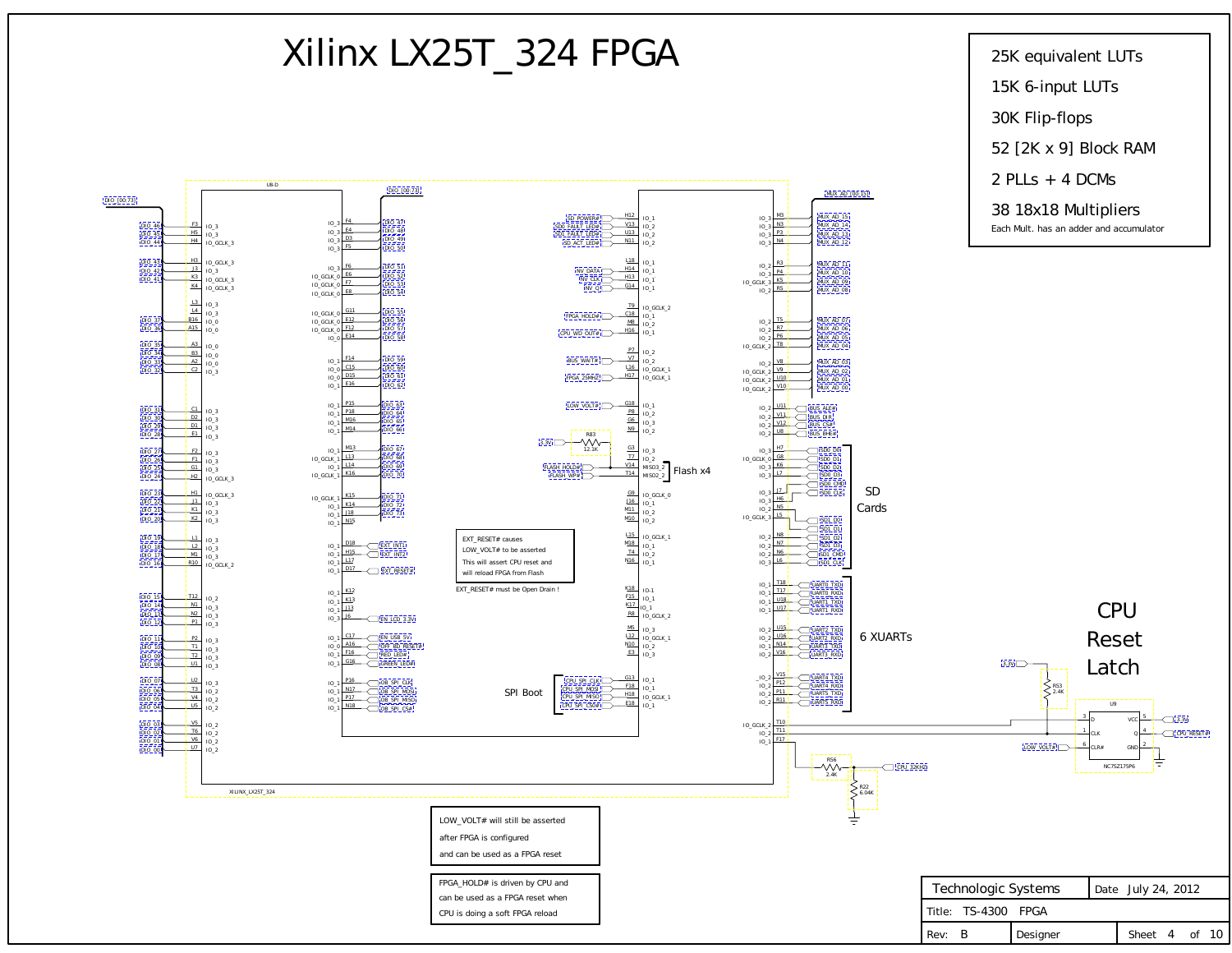Title:

TS-4300 FPGA

<span id="page-3-0"></span>

Rev: B Designer Sheet 4 of 10

can be used as a FPGA reset when CPU is doing a soft FPGA reload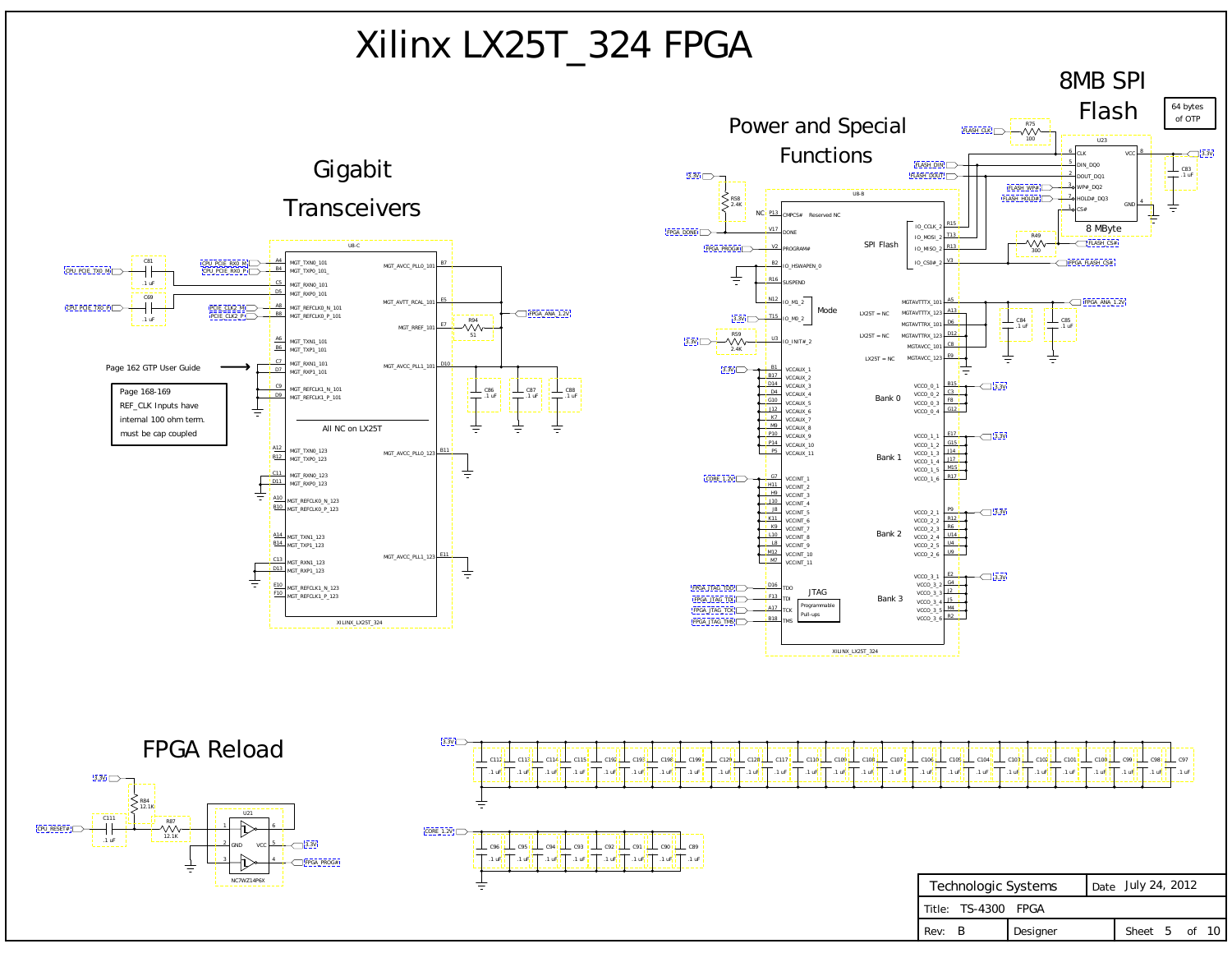| Technologic Systems | Date July 24, 2012 |               |  |  |
|---------------------|--------------------|---------------|--|--|
| Title: TS-4300 FPGA |                    |               |  |  |
| Rev: B              | <b>I</b> Designer  | Sheet 5 of 10 |  |  |

<span id="page-4-0"></span>

|  |  |  | 99 L C129 L C128 L C117 L C110 L C109 L C108 L C107 L C106 L C105 L C104 L C103 L C102 L C101 L C100 L C99 L C98 L C97 |  |  |  |  |  |
|--|--|--|------------------------------------------------------------------------------------------------------------------------|--|--|--|--|--|
|  |  |  |                                                                                                                        |  |  |  |  |  |

# Xilinx LX25T\_324 FPGA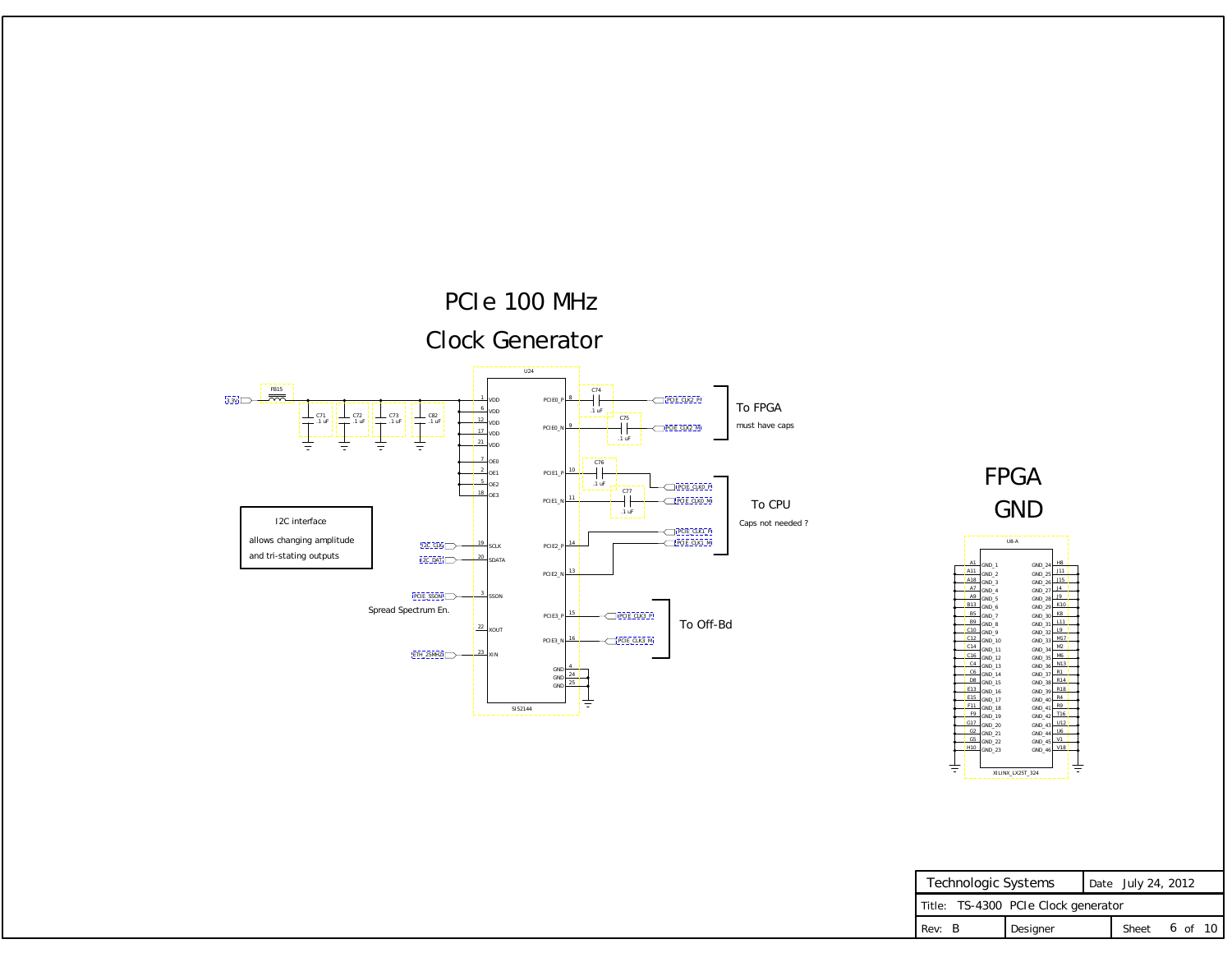| Technologic Systems                 |          | Date July 24, 2012 |               |  |  |  |  |
|-------------------------------------|----------|--------------------|---------------|--|--|--|--|
| Title: TS-4300 PCIe Clock generator |          |                    |               |  |  |  |  |
| Rev: B                              | Designer |                    | Sheet 6 of 10 |  |  |  |  |

### GND FPGA

### PCIe 100 MHz Clock Generator

To FPGA must have caps

To Off-Bd

To CPU Caps not needed ?

|                |          | U8-A             |        |                |
|----------------|----------|------------------|--------|----------------|
|                |          |                  |        |                |
| A1             | GND 1    |                  | GND 24 | H8             |
| A11            | GND 2    |                  | GND 25 | J11            |
| A18            | GND 3    |                  | GND 26 | J15            |
| A7             | GND 4    |                  | GND 27 | J <sub>4</sub> |
| A9             | $GND_5$  |                  | GND 28 | J9             |
| <b>B13</b>     | GND 6    |                  | GND 29 | K10            |
| B <sub>5</sub> | GND 7    |                  | GND 30 | K8             |
| B <sub>9</sub> | $GND_8$  |                  | GND 31 | L11            |
| C10            | GND 9    |                  | GND 32 | L9             |
| C12            | $GND_10$ |                  | GND 33 | M17            |
| C14            | GND 11   |                  | GND 34 | M2             |
| C16            | GND 12   |                  | GND 35 | M6             |
| C4             | $GND_13$ |                  | GND 36 | N13            |
| C6             | GND 14   |                  | GND 37 | R1             |
| D <sub>8</sub> | $GND_15$ |                  | GND 38 | R14            |
| E13            | GND 16   |                  | GND 39 | <b>R18</b>     |
| E15            | $GND_17$ |                  | GND 40 | R4             |
| F11            | GND 18   |                  | GND 41 | R9             |
| F9             | GND 19   |                  | GND 42 | T16            |
| G17            | GND 20   |                  | GND 43 | U12            |
| G2             | $GND_21$ |                  | GND 44 | U6             |
| G <sub>5</sub> | GND 22   |                  | GND 45 | V1             |
| H10            | GND 23   |                  | GND 46 | V18            |
|                |          |                  |        |                |
| Ξ              |          |                  |        |                |
|                |          | XILINX LX25T 324 |        |                |

<span id="page-5-0"></span>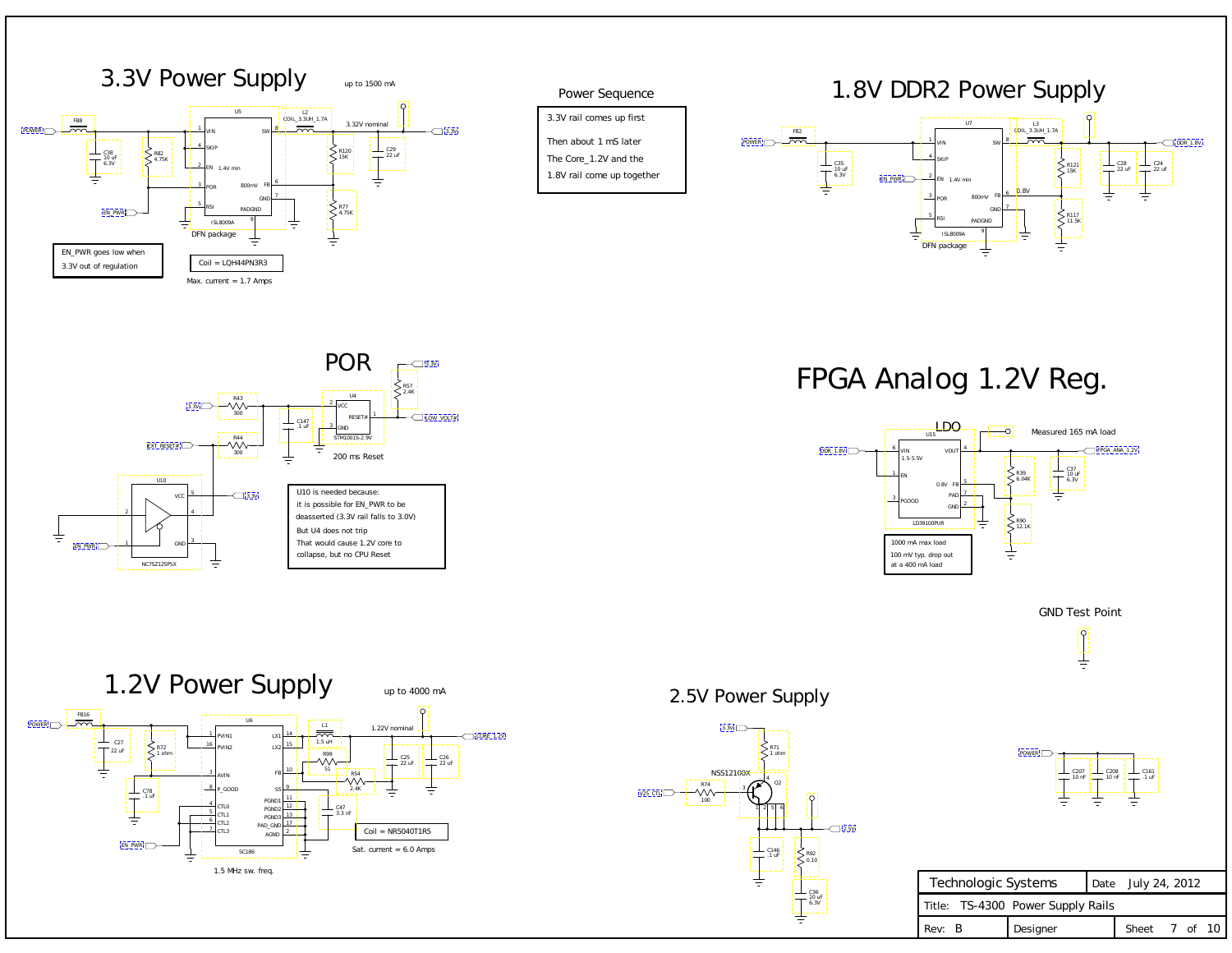### 1.8V DDR2 Power Supply

### 2.5V Power Supply

| Technologic Systems               |          | Date July 24, 2012 |               |  |  |  |
|-----------------------------------|----------|--------------------|---------------|--|--|--|
|                                   |          |                    |               |  |  |  |
| Title: TS-4300 Power Supply Rails |          |                    |               |  |  |  |
| l Rev: B                          | Designer |                    | Sheet 7 of 10 |  |  |  |



### Power Sequence

3.3V rail comes up first

The Core\_1.2V and the

1.8V rail come up together

Then about 1 mS later

FPGA Analog 1.2V Reg.



GND Test Point





<span id="page-6-0"></span>





[V25\\_CTL](#page-0-0)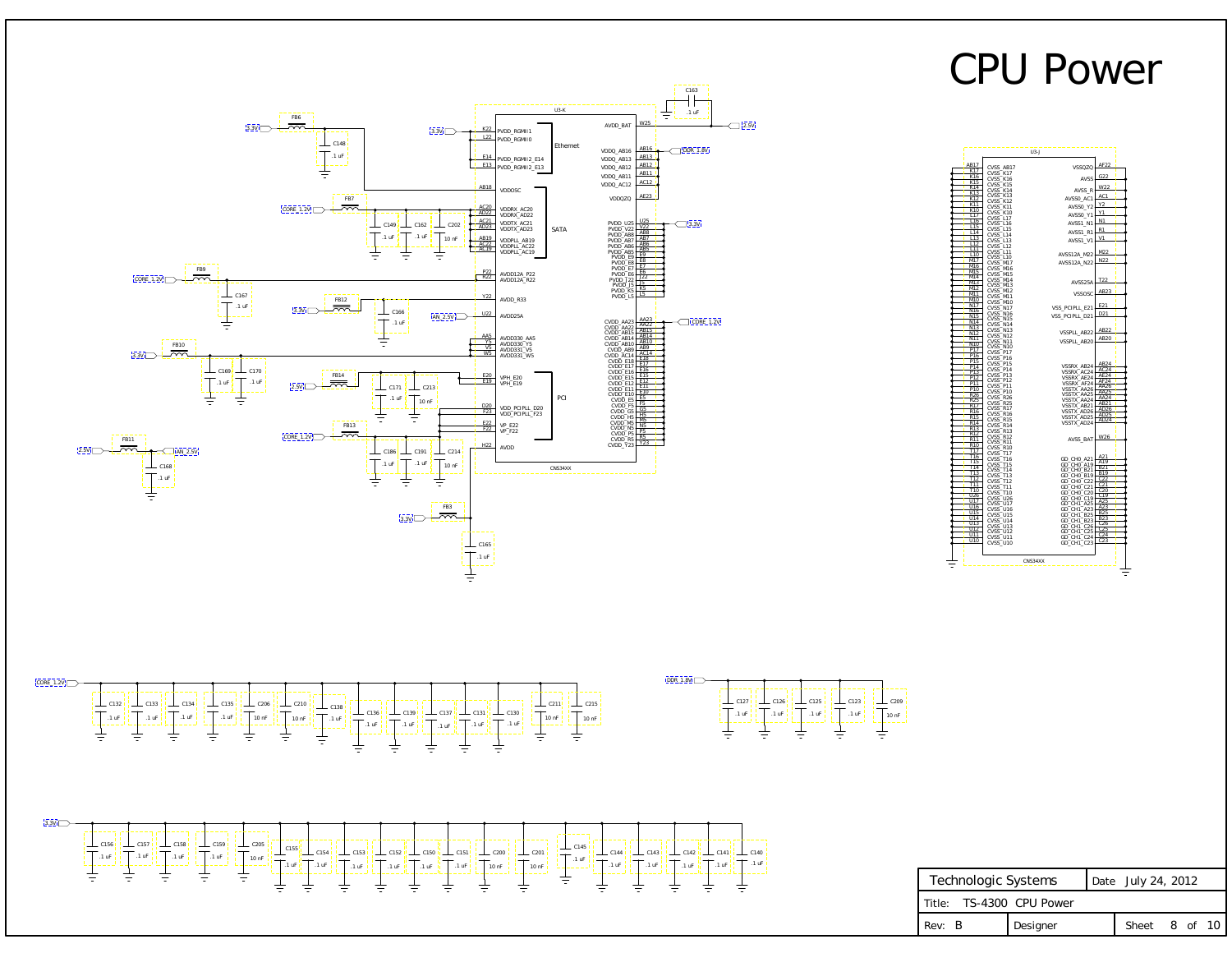## CPU Power

| Technologic Systems      | Date July 24, 2012 |               |  |  |
|--------------------------|--------------------|---------------|--|--|
| Title: TS-4300 CPU Power |                    |               |  |  |
| Rev: B                   | Designer           | Sheet 8 of 10 |  |  |



<span id="page-7-0"></span>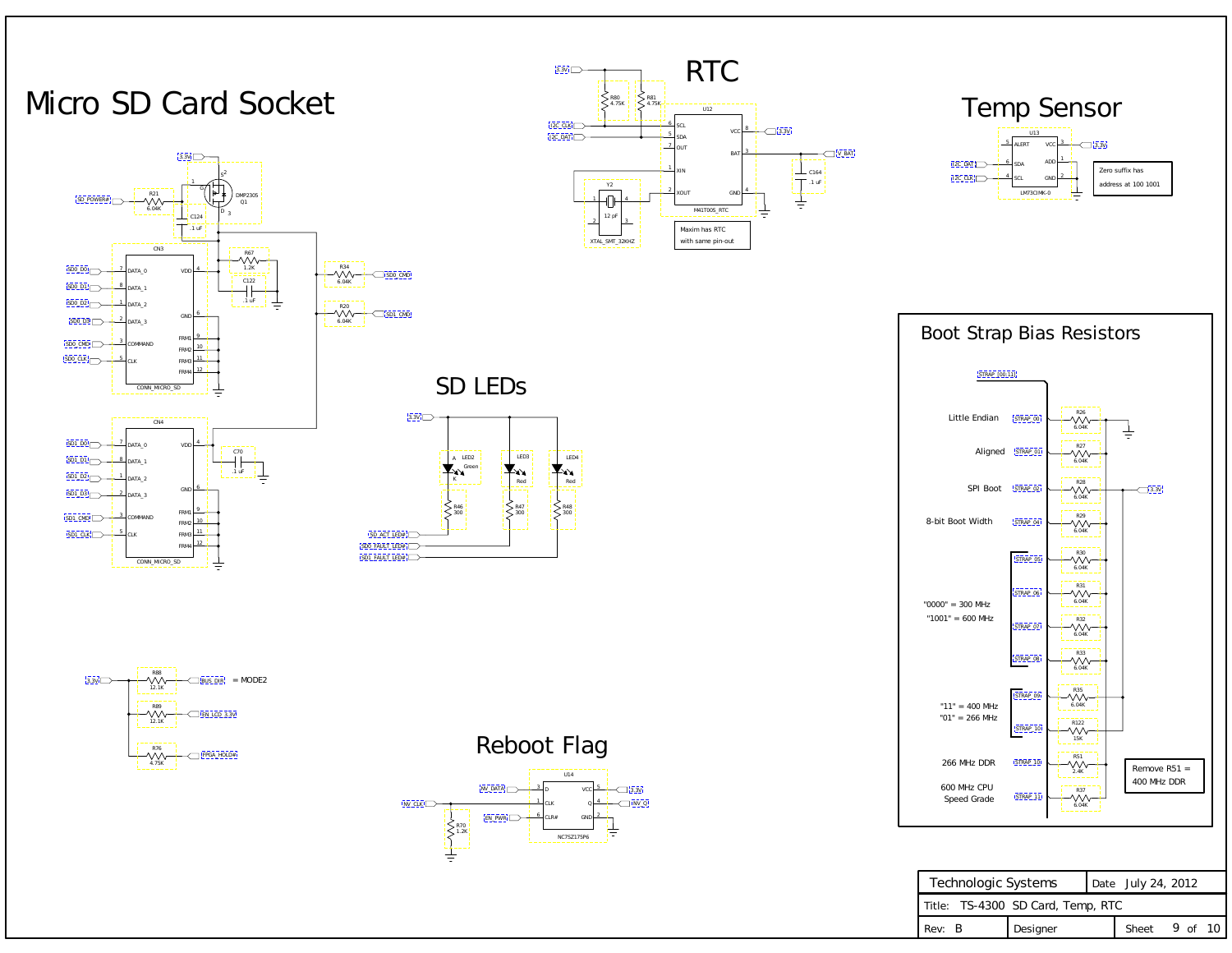| Technologic Systems               | Date July 24, 2012 |               |  |  |
|-----------------------------------|--------------------|---------------|--|--|
| Title: TS-4300 SD Card, Temp, RTC |                    |               |  |  |
| Rev: B                            | Designer           | Sheet 9 of 10 |  |  |







<span id="page-8-0"></span>